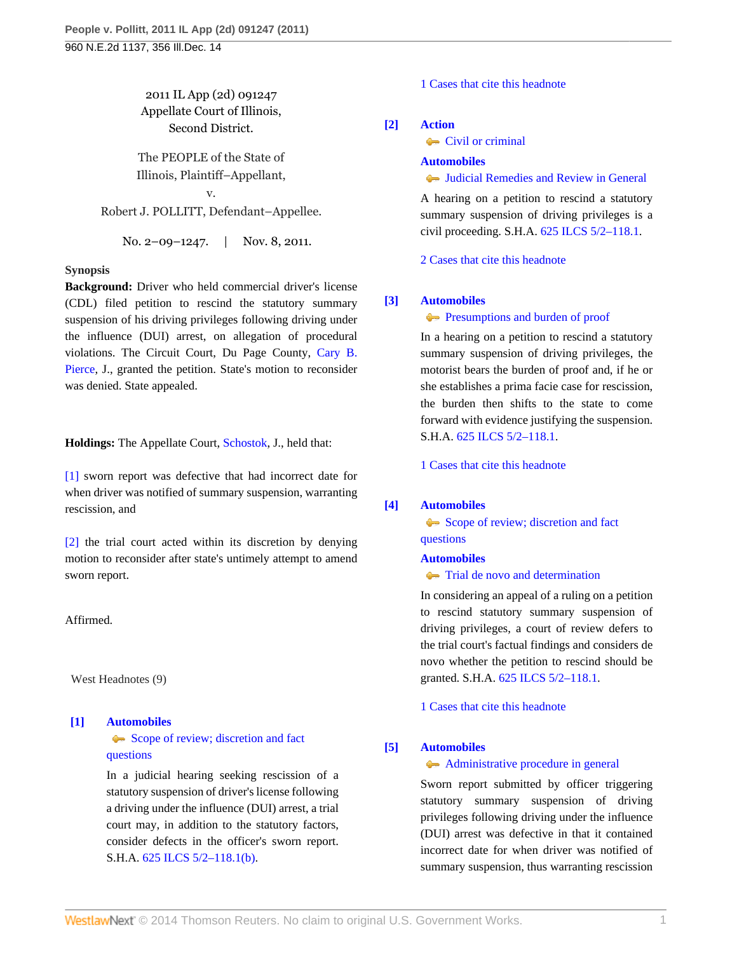# 2011 IL App (2d) 091247 Appellate Court of Illinois, Second District.

The PEOPLE of the State of Illinois, Plaintiff–Appellant,

v. Robert J. POLLITT, Defendant–Appellee.

No. 2–09–1247. | Nov. 8, 2011.

### **Synopsis**

**Background:** Driver who held commercial driver's license (CDL) filed petition to rescind the statutory summary suspension of his driving privileges following driving under the influence (DUI) arrest, on allegation of procedural violations. The Circuit Court, Du Page County, [Cary B.](http://www.westlaw.com/Link/Document/FullText?findType=h&pubNum=176284&cite=0206631401&originatingDoc=Iaec2b7810bdd11e1bc27967e57e99458&refType=RQ&originationContext=document&vr=3.0&rs=cblt1.0&transitionType=DocumentItem&contextData=(sc.Search)) [Pierce,](http://www.westlaw.com/Link/Document/FullText?findType=h&pubNum=176284&cite=0206631401&originatingDoc=Iaec2b7810bdd11e1bc27967e57e99458&refType=RQ&originationContext=document&vr=3.0&rs=cblt1.0&transitionType=DocumentItem&contextData=(sc.Search)) J., granted the petition. State's motion to reconsider was denied. State appealed.

**Holdings:** The Appellate Court, [Schostok](http://www.westlaw.com/Link/Document/FullText?findType=h&pubNum=176284&cite=0120049801&originatingDoc=Iaec2b7810bdd11e1bc27967e57e99458&refType=RQ&originationContext=document&vr=3.0&rs=cblt1.0&transitionType=DocumentItem&contextData=(sc.Search)), J., held that:

[\[1\]](#page-0-0) sworn report was defective that had incorrect date for when driver was notified of summary suspension, warranting rescission, and

[\[2\]](#page-1-0) the trial court acted within its discretion by denying motion to reconsider after state's untimely attempt to amend sworn report.

### Affirmed.

West Headnotes (9)

# <span id="page-0-1"></span>**[\[1\]](#page-3-0) [Automobiles](http://www.westlaw.com/Browse/Home/KeyNumber/48A/View.html?docGuid=Iaec2b7810bdd11e1bc27967e57e99458&originationContext=document&vr=3.0&rs=cblt1.0&transitionType=DocumentItem&contextData=(sc.Search))** [Scope of review; discretion and fact](http://www.westlaw.com/Browse/Home/KeyNumber/48Ak144.2(3)/View.html?docGuid=Iaec2b7810bdd11e1bc27967e57e99458&originationContext=document&vr=3.0&rs=cblt1.0&transitionType=DocumentItem&contextData=(sc.Search))

[questions](http://www.westlaw.com/Browse/Home/KeyNumber/48Ak144.2(3)/View.html?docGuid=Iaec2b7810bdd11e1bc27967e57e99458&originationContext=document&vr=3.0&rs=cblt1.0&transitionType=DocumentItem&contextData=(sc.Search))

In a judicial hearing seeking rescission of a statutory suspension of driver's license following a driving under the influence (DUI) arrest, a trial court may, in addition to the statutory factors, consider defects in the officer's sworn report. S.H.A. [625 ILCS 5/2–118.1\(b\)](http://www.westlaw.com/Link/Document/FullText?findType=L&pubNum=1000008&cite=IL625S5%2f2-118.1&originatingDoc=Iaec2b7810bdd11e1bc27967e57e99458&refType=SP&originationContext=document&vr=3.0&rs=cblt1.0&transitionType=DocumentItem&contextData=(sc.Search)#co_pp_a83b000018c76).

[1 Cases that cite this headnote](http://www.westlaw.com/Link/RelatedInformation/DocHeadnoteLink?docGuid=Iaec2b7810bdd11e1bc27967e57e99458&headnoteId=202648782300120120515210009&originationContext=document&vr=3.0&rs=cblt1.0&transitionType=CitingReferences&contextData=(sc.Search))

### <span id="page-0-2"></span>**[\[2\]](#page-3-1) [Action](http://www.westlaw.com/Browse/Home/KeyNumber/13/View.html?docGuid=Iaec2b7810bdd11e1bc27967e57e99458&originationContext=document&vr=3.0&rs=cblt1.0&transitionType=DocumentItem&contextData=(sc.Search))**

**[Civil or criminal](http://www.westlaw.com/Browse/Home/KeyNumber/13k18/View.html?docGuid=Iaec2b7810bdd11e1bc27967e57e99458&originationContext=document&vr=3.0&rs=cblt1.0&transitionType=DocumentItem&contextData=(sc.Search))** 

### **[Automobiles](http://www.westlaw.com/Browse/Home/KeyNumber/48A/View.html?docGuid=Iaec2b7810bdd11e1bc27967e57e99458&originationContext=document&vr=3.0&rs=cblt1.0&transitionType=DocumentItem&contextData=(sc.Search))**

[Judicial Remedies and Review in General](http://www.westlaw.com/Browse/Home/KeyNumber/48Ak144.2(2)/View.html?docGuid=Iaec2b7810bdd11e1bc27967e57e99458&originationContext=document&vr=3.0&rs=cblt1.0&transitionType=DocumentItem&contextData=(sc.Search))

A hearing on a petition to rescind a statutory summary suspension of driving privileges is a civil proceeding. S.H.A. [625 ILCS 5/2–118.1](http://www.westlaw.com/Link/Document/FullText?findType=L&pubNum=1000008&cite=IL625S5%2f2-118.1&originatingDoc=Iaec2b7810bdd11e1bc27967e57e99458&refType=LQ&originationContext=document&vr=3.0&rs=cblt1.0&transitionType=DocumentItem&contextData=(sc.Search)).

[2 Cases that cite this headnote](http://www.westlaw.com/Link/RelatedInformation/DocHeadnoteLink?docGuid=Iaec2b7810bdd11e1bc27967e57e99458&headnoteId=202648782300220120515210009&originationContext=document&vr=3.0&rs=cblt1.0&transitionType=CitingReferences&contextData=(sc.Search))

## <span id="page-0-3"></span>**[\[3\]](#page-3-2) [Automobiles](http://www.westlaw.com/Browse/Home/KeyNumber/48A/View.html?docGuid=Iaec2b7810bdd11e1bc27967e57e99458&originationContext=document&vr=3.0&rs=cblt1.0&transitionType=DocumentItem&contextData=(sc.Search))**

**[Presumptions and burden of proof](http://www.westlaw.com/Browse/Home/KeyNumber/48Ak144.2(9.6)/View.html?docGuid=Iaec2b7810bdd11e1bc27967e57e99458&originationContext=document&vr=3.0&rs=cblt1.0&transitionType=DocumentItem&contextData=(sc.Search))** 

In a hearing on a petition to rescind a statutory summary suspension of driving privileges, the motorist bears the burden of proof and, if he or she establishes a prima facie case for rescission, the burden then shifts to the state to come forward with evidence justifying the suspension. S.H.A. [625 ILCS 5/2–118.1](http://www.westlaw.com/Link/Document/FullText?findType=L&pubNum=1000008&cite=IL625S5%2f2-118.1&originatingDoc=Iaec2b7810bdd11e1bc27967e57e99458&refType=LQ&originationContext=document&vr=3.0&rs=cblt1.0&transitionType=DocumentItem&contextData=(sc.Search)).

[1 Cases that cite this headnote](http://www.westlaw.com/Link/RelatedInformation/DocHeadnoteLink?docGuid=Iaec2b7810bdd11e1bc27967e57e99458&headnoteId=202648782300320120515210009&originationContext=document&vr=3.0&rs=cblt1.0&transitionType=CitingReferences&contextData=(sc.Search))

### <span id="page-0-4"></span>**[\[4\]](#page-3-3) [Automobiles](http://www.westlaw.com/Browse/Home/KeyNumber/48A/View.html?docGuid=Iaec2b7810bdd11e1bc27967e57e99458&originationContext=document&vr=3.0&rs=cblt1.0&transitionType=DocumentItem&contextData=(sc.Search))**

[Scope of review; discretion and fact](http://www.westlaw.com/Browse/Home/KeyNumber/48Ak144.2(3)/View.html?docGuid=Iaec2b7810bdd11e1bc27967e57e99458&originationContext=document&vr=3.0&rs=cblt1.0&transitionType=DocumentItem&contextData=(sc.Search)) [questions](http://www.westlaw.com/Browse/Home/KeyNumber/48Ak144.2(3)/View.html?docGuid=Iaec2b7810bdd11e1bc27967e57e99458&originationContext=document&vr=3.0&rs=cblt1.0&transitionType=DocumentItem&contextData=(sc.Search))

### **[Automobiles](http://www.westlaw.com/Browse/Home/KeyNumber/48A/View.html?docGuid=Iaec2b7810bdd11e1bc27967e57e99458&originationContext=document&vr=3.0&rs=cblt1.0&transitionType=DocumentItem&contextData=(sc.Search))**

**[Trial de novo and determination](http://www.westlaw.com/Browse/Home/KeyNumber/48Ak144.2(4)/View.html?docGuid=Iaec2b7810bdd11e1bc27967e57e99458&originationContext=document&vr=3.0&rs=cblt1.0&transitionType=DocumentItem&contextData=(sc.Search))** 

In considering an appeal of a ruling on a petition to rescind statutory summary suspension of driving privileges, a court of review defers to the trial court's factual findings and considers de novo whether the petition to rescind should be granted. S.H.A. [625 ILCS 5/2–118.1](http://www.westlaw.com/Link/Document/FullText?findType=L&pubNum=1000008&cite=IL625S5%2f2-118.1&originatingDoc=Iaec2b7810bdd11e1bc27967e57e99458&refType=LQ&originationContext=document&vr=3.0&rs=cblt1.0&transitionType=DocumentItem&contextData=(sc.Search)).

[1 Cases that cite this headnote](http://www.westlaw.com/Link/RelatedInformation/DocHeadnoteLink?docGuid=Iaec2b7810bdd11e1bc27967e57e99458&headnoteId=202648782300420120515210009&originationContext=document&vr=3.0&rs=cblt1.0&transitionType=CitingReferences&contextData=(sc.Search))

# <span id="page-0-0"></span>**[\[5\]](#page-4-0) [Automobiles](http://www.westlaw.com/Browse/Home/KeyNumber/48A/View.html?docGuid=Iaec2b7810bdd11e1bc27967e57e99458&originationContext=document&vr=3.0&rs=cblt1.0&transitionType=DocumentItem&contextData=(sc.Search))**

### [Administrative procedure in general](http://www.westlaw.com/Browse/Home/KeyNumber/48Ak144.2(1)/View.html?docGuid=Iaec2b7810bdd11e1bc27967e57e99458&originationContext=document&vr=3.0&rs=cblt1.0&transitionType=DocumentItem&contextData=(sc.Search))

Sworn report submitted by officer triggering statutory summary suspension of driving privileges following driving under the influence (DUI) arrest was defective in that it contained incorrect date for when driver was notified of summary suspension, thus warranting rescission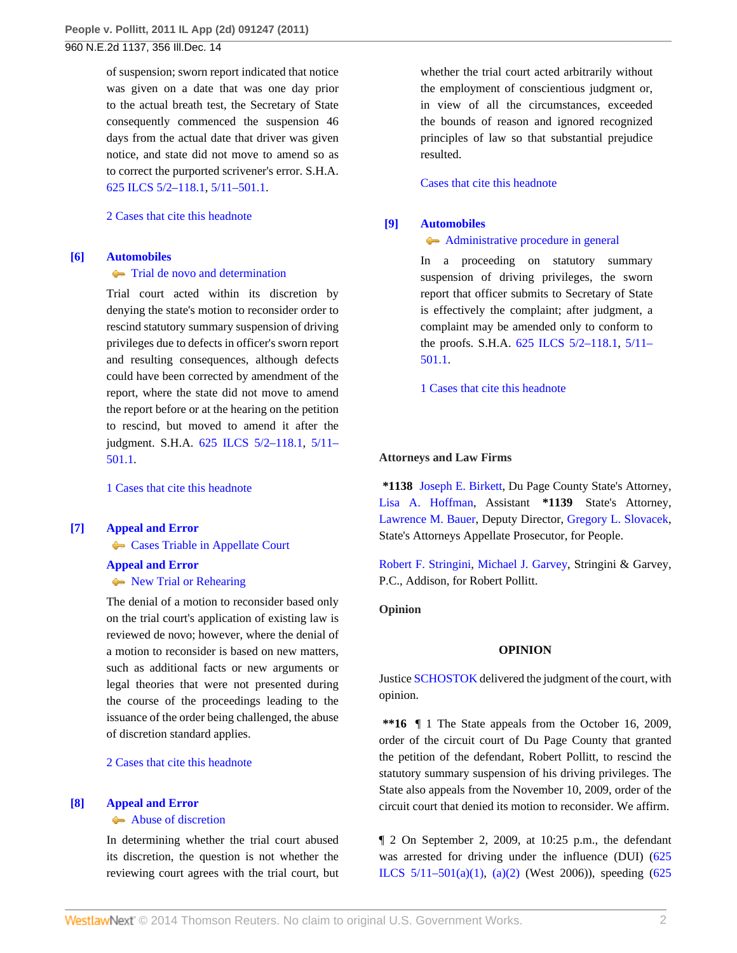of suspension; sworn report indicated that notice was given on a date that was one day prior to the actual breath test, the Secretary of State consequently commenced the suspension 46 days from the actual date that driver was given notice, and state did not move to amend so as to correct the purported scrivener's error. S.H.A. [625 ILCS 5/2–118.1](http://www.westlaw.com/Link/Document/FullText?findType=L&pubNum=1000008&cite=IL625S5%2f2-118.1&originatingDoc=Iaec2b7810bdd11e1bc27967e57e99458&refType=LQ&originationContext=document&vr=3.0&rs=cblt1.0&transitionType=DocumentItem&contextData=(sc.Search)), [5/11–501.1.](http://www.westlaw.com/Link/Document/FullText?findType=L&pubNum=1000008&cite=IL625S5%2f11-501.1&originatingDoc=Iaec2b7810bdd11e1bc27967e57e99458&refType=LQ&originationContext=document&vr=3.0&rs=cblt1.0&transitionType=DocumentItem&contextData=(sc.Search))

[2 Cases that cite this headnote](http://www.westlaw.com/Link/RelatedInformation/DocHeadnoteLink?docGuid=Iaec2b7810bdd11e1bc27967e57e99458&headnoteId=202648782300520120515210009&originationContext=document&vr=3.0&rs=cblt1.0&transitionType=CitingReferences&contextData=(sc.Search))

### <span id="page-1-0"></span>**[\[6\]](#page-4-1) [Automobiles](http://www.westlaw.com/Browse/Home/KeyNumber/48A/View.html?docGuid=Iaec2b7810bdd11e1bc27967e57e99458&originationContext=document&vr=3.0&rs=cblt1.0&transitionType=DocumentItem&contextData=(sc.Search))**

#### **[Trial de novo and determination](http://www.westlaw.com/Browse/Home/KeyNumber/48Ak144.2(4)/View.html?docGuid=Iaec2b7810bdd11e1bc27967e57e99458&originationContext=document&vr=3.0&rs=cblt1.0&transitionType=DocumentItem&contextData=(sc.Search))**

Trial court acted within its discretion by denying the state's motion to reconsider order to rescind statutory summary suspension of driving privileges due to defects in officer's sworn report and resulting consequences, although defects could have been corrected by amendment of the report, where the state did not move to amend the report before or at the hearing on the petition to rescind, but moved to amend it after the judgment. S.H.A. [625 ILCS 5/2–118.1,](http://www.westlaw.com/Link/Document/FullText?findType=L&pubNum=1000008&cite=IL625S5%2f2-118.1&originatingDoc=Iaec2b7810bdd11e1bc27967e57e99458&refType=LQ&originationContext=document&vr=3.0&rs=cblt1.0&transitionType=DocumentItem&contextData=(sc.Search)) [5/11–](http://www.westlaw.com/Link/Document/FullText?findType=L&pubNum=1000008&cite=IL625S5%2f11-501.1&originatingDoc=Iaec2b7810bdd11e1bc27967e57e99458&refType=LQ&originationContext=document&vr=3.0&rs=cblt1.0&transitionType=DocumentItem&contextData=(sc.Search)) [501.1](http://www.westlaw.com/Link/Document/FullText?findType=L&pubNum=1000008&cite=IL625S5%2f11-501.1&originatingDoc=Iaec2b7810bdd11e1bc27967e57e99458&refType=LQ&originationContext=document&vr=3.0&rs=cblt1.0&transitionType=DocumentItem&contextData=(sc.Search)).

[1 Cases that cite this headnote](http://www.westlaw.com/Link/RelatedInformation/DocHeadnoteLink?docGuid=Iaec2b7810bdd11e1bc27967e57e99458&headnoteId=202648782300620120515210009&originationContext=document&vr=3.0&rs=cblt1.0&transitionType=CitingReferences&contextData=(sc.Search))

## <span id="page-1-1"></span>**[\[7\]](#page-4-2) [Appeal and Error](http://www.westlaw.com/Browse/Home/KeyNumber/30/View.html?docGuid=Iaec2b7810bdd11e1bc27967e57e99458&originationContext=document&vr=3.0&rs=cblt1.0&transitionType=DocumentItem&contextData=(sc.Search)) [Cases Triable in Appellate Court](http://www.westlaw.com/Browse/Home/KeyNumber/30k893/View.html?docGuid=Iaec2b7810bdd11e1bc27967e57e99458&originationContext=document&vr=3.0&rs=cblt1.0&transitionType=DocumentItem&contextData=(sc.Search))**

#### **[Appeal and Error](http://www.westlaw.com/Browse/Home/KeyNumber/30/View.html?docGuid=Iaec2b7810bdd11e1bc27967e57e99458&originationContext=document&vr=3.0&rs=cblt1.0&transitionType=DocumentItem&contextData=(sc.Search))**

# [New Trial or Rehearing](http://www.westlaw.com/Browse/Home/KeyNumber/30k976/View.html?docGuid=Iaec2b7810bdd11e1bc27967e57e99458&originationContext=document&vr=3.0&rs=cblt1.0&transitionType=DocumentItem&contextData=(sc.Search))

The denial of a motion to reconsider based only on the trial court's application of existing law is reviewed de novo; however, where the denial of a motion to reconsider is based on new matters, such as additional facts or new arguments or legal theories that were not presented during the course of the proceedings leading to the issuance of the order being challenged, the abuse of discretion standard applies.

[2 Cases that cite this headnote](http://www.westlaw.com/Link/RelatedInformation/DocHeadnoteLink?docGuid=Iaec2b7810bdd11e1bc27967e57e99458&headnoteId=202648782300720120515210009&originationContext=document&vr=3.0&rs=cblt1.0&transitionType=CitingReferences&contextData=(sc.Search))

### <span id="page-1-2"></span>**[\[8\]](#page-4-3) [Appeal and Error](http://www.westlaw.com/Browse/Home/KeyNumber/30/View.html?docGuid=Iaec2b7810bdd11e1bc27967e57e99458&originationContext=document&vr=3.0&rs=cblt1.0&transitionType=DocumentItem&contextData=(sc.Search))**

### **[Abuse of discretion](http://www.westlaw.com/Browse/Home/KeyNumber/30k946/View.html?docGuid=Iaec2b7810bdd11e1bc27967e57e99458&originationContext=document&vr=3.0&rs=cblt1.0&transitionType=DocumentItem&contextData=(sc.Search))**

In determining whether the trial court abused its discretion, the question is not whether the reviewing court agrees with the trial court, but

whether the trial court acted arbitrarily without the employment of conscientious judgment or, in view of all the circumstances, exceeded the bounds of reason and ignored recognized principles of law so that substantial prejudice resulted.

### [Cases that cite this headnote](http://www.westlaw.com/Link/RelatedInformation/DocHeadnoteLink?docGuid=Iaec2b7810bdd11e1bc27967e57e99458&headnoteId=202648782300820120515210009&originationContext=document&vr=3.0&rs=cblt1.0&transitionType=CitingReferences&contextData=(sc.Search))

### <span id="page-1-3"></span>**[\[9\]](#page-5-0) [Automobiles](http://www.westlaw.com/Browse/Home/KeyNumber/48A/View.html?docGuid=Iaec2b7810bdd11e1bc27967e57e99458&originationContext=document&vr=3.0&rs=cblt1.0&transitionType=DocumentItem&contextData=(sc.Search))**

### [Administrative procedure in general](http://www.westlaw.com/Browse/Home/KeyNumber/48Ak144.2(1)/View.html?docGuid=Iaec2b7810bdd11e1bc27967e57e99458&originationContext=document&vr=3.0&rs=cblt1.0&transitionType=DocumentItem&contextData=(sc.Search))

In a proceeding on statutory summary suspension of driving privileges, the sworn report that officer submits to Secretary of State is effectively the complaint; after judgment, a complaint may be amended only to conform to the proofs. S.H.A. [625 ILCS 5/2–118.1](http://www.westlaw.com/Link/Document/FullText?findType=L&pubNum=1000008&cite=IL625S5%2f2-118.1&originatingDoc=Iaec2b7810bdd11e1bc27967e57e99458&refType=LQ&originationContext=document&vr=3.0&rs=cblt1.0&transitionType=DocumentItem&contextData=(sc.Search)), [5/11–](http://www.westlaw.com/Link/Document/FullText?findType=L&pubNum=1000008&cite=IL625S5%2f11-501.1&originatingDoc=Iaec2b7810bdd11e1bc27967e57e99458&refType=LQ&originationContext=document&vr=3.0&rs=cblt1.0&transitionType=DocumentItem&contextData=(sc.Search)) [501.1](http://www.westlaw.com/Link/Document/FullText?findType=L&pubNum=1000008&cite=IL625S5%2f11-501.1&originatingDoc=Iaec2b7810bdd11e1bc27967e57e99458&refType=LQ&originationContext=document&vr=3.0&rs=cblt1.0&transitionType=DocumentItem&contextData=(sc.Search)).

[1 Cases that cite this headnote](http://www.westlaw.com/Link/RelatedInformation/DocHeadnoteLink?docGuid=Iaec2b7810bdd11e1bc27967e57e99458&headnoteId=202648782300920120515210009&originationContext=document&vr=3.0&rs=cblt1.0&transitionType=CitingReferences&contextData=(sc.Search))

#### **Attorneys and Law Firms**

**\*1138** [Joseph E. Birkett,](http://www.westlaw.com/Link/Document/FullText?findType=h&pubNum=176284&cite=0124634501&originatingDoc=Iaec2b7810bdd11e1bc27967e57e99458&refType=RQ&originationContext=document&vr=3.0&rs=cblt1.0&transitionType=DocumentItem&contextData=(sc.Search)) Du Page County State's Attorney, [Lisa A. Hoffman](http://www.westlaw.com/Link/Document/FullText?findType=h&pubNum=176284&cite=0215767401&originatingDoc=Iaec2b7810bdd11e1bc27967e57e99458&refType=RQ&originationContext=document&vr=3.0&rs=cblt1.0&transitionType=DocumentItem&contextData=(sc.Search)), Assistant **\*1139** State's Attorney, [Lawrence M. Bauer](http://www.westlaw.com/Link/Document/FullText?findType=h&pubNum=176284&cite=0182654301&originatingDoc=Iaec2b7810bdd11e1bc27967e57e99458&refType=RQ&originationContext=document&vr=3.0&rs=cblt1.0&transitionType=DocumentItem&contextData=(sc.Search)), Deputy Director, [Gregory L. Slovacek,](http://www.westlaw.com/Link/Document/FullText?findType=h&pubNum=176284&cite=0128388501&originatingDoc=Iaec2b7810bdd11e1bc27967e57e99458&refType=RQ&originationContext=document&vr=3.0&rs=cblt1.0&transitionType=DocumentItem&contextData=(sc.Search)) State's Attorneys Appellate Prosecutor, for People.

[Robert F. Stringini](http://www.westlaw.com/Link/Document/FullText?findType=h&pubNum=176284&cite=0288500801&originatingDoc=Iaec2b7810bdd11e1bc27967e57e99458&refType=RQ&originationContext=document&vr=3.0&rs=cblt1.0&transitionType=DocumentItem&contextData=(sc.Search)), [Michael J. Garvey,](http://www.westlaw.com/Link/Document/FullText?findType=h&pubNum=176284&cite=0295459501&originatingDoc=Iaec2b7810bdd11e1bc27967e57e99458&refType=RQ&originationContext=document&vr=3.0&rs=cblt1.0&transitionType=DocumentItem&contextData=(sc.Search)) Stringini & Garvey, P.C., Addison, for Robert Pollitt.

### **Opinion**

#### **OPINION**

Justice [SCHOSTOK](http://www.westlaw.com/Link/Document/FullText?findType=h&pubNum=176284&cite=0120049801&originatingDoc=Iaec2b7810bdd11e1bc27967e57e99458&refType=RQ&originationContext=document&vr=3.0&rs=cblt1.0&transitionType=DocumentItem&contextData=(sc.Search)) delivered the judgment of the court, with opinion.

**\*\*16** ¶ 1 The State appeals from the October 16, 2009, order of the circuit court of Du Page County that granted the petition of the defendant, Robert Pollitt, to rescind the statutory summary suspension of his driving privileges. The State also appeals from the November 10, 2009, order of the circuit court that denied its motion to reconsider. We affirm.

¶ 2 On September 2, 2009, at 10:25 p.m., the defendant was arrested for driving under the influence (DUI) ([625](http://www.westlaw.com/Link/Document/FullText?findType=L&pubNum=1000008&cite=IL625S5%2f11-501&originatingDoc=Iaec2b7810bdd11e1bc27967e57e99458&refType=SP&originationContext=document&vr=3.0&rs=cblt1.0&transitionType=DocumentItem&contextData=(sc.Search)#co_pp_7b9b000044381)) [ILCS 5/11–501\(a\)\(1\),](http://www.westlaw.com/Link/Document/FullText?findType=L&pubNum=1000008&cite=IL625S5%2f11-501&originatingDoc=Iaec2b7810bdd11e1bc27967e57e99458&refType=SP&originationContext=document&vr=3.0&rs=cblt1.0&transitionType=DocumentItem&contextData=(sc.Search)#co_pp_7b9b000044381) [\(a\)\(2\)](http://www.westlaw.com/Link/Document/FullText?findType=L&pubNum=1000008&cite=IL625S5%2f11-501&originatingDoc=Iaec2b7810bdd11e1bc27967e57e99458&refType=SP&originationContext=document&vr=3.0&rs=cblt1.0&transitionType=DocumentItem&contextData=(sc.Search)#co_pp_d86d0000be040) (West 2006)), speeding ([625](http://www.westlaw.com/Link/Document/FullText?findType=L&pubNum=1000008&cite=IL625S5%2f11-601&originatingDoc=Iaec2b7810bdd11e1bc27967e57e99458&refType=SP&originationContext=document&vr=3.0&rs=cblt1.0&transitionType=DocumentItem&contextData=(sc.Search)#co_pp_a83b000018c76)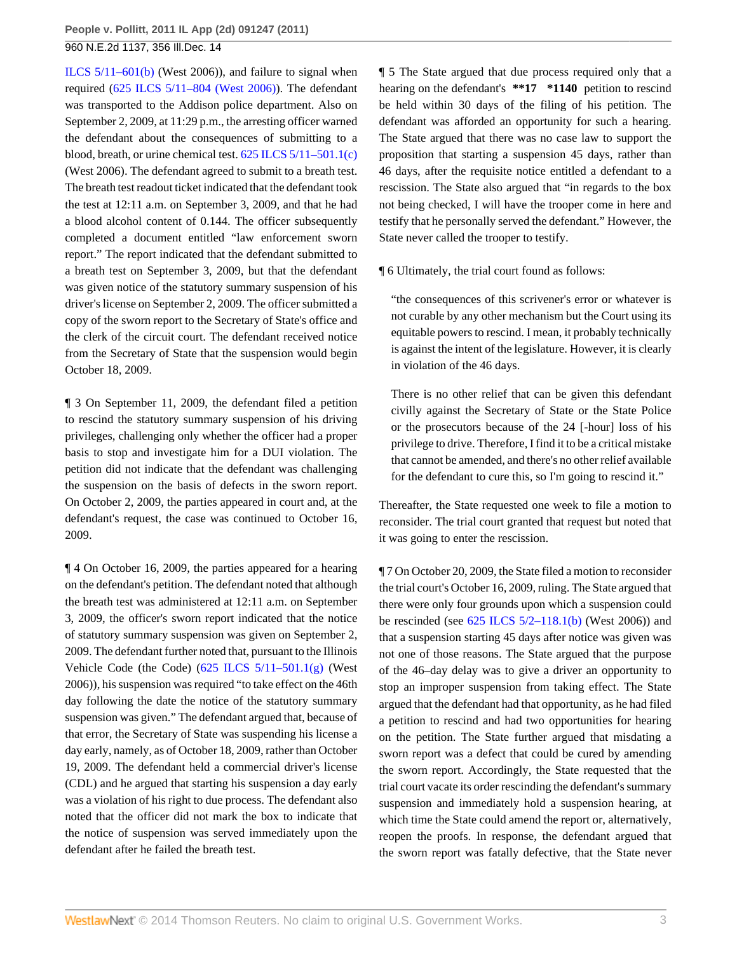[ILCS 5/11–601\(b\)](http://www.westlaw.com/Link/Document/FullText?findType=L&pubNum=1000008&cite=IL625S5%2f11-601&originatingDoc=Iaec2b7810bdd11e1bc27967e57e99458&refType=SP&originationContext=document&vr=3.0&rs=cblt1.0&transitionType=DocumentItem&contextData=(sc.Search)#co_pp_a83b000018c76) (West 2006)), and failure to signal when required [\(625 ILCS 5/11–804 \(West 2006\)](http://www.westlaw.com/Link/Document/FullText?findType=L&pubNum=1000008&cite=IL625S5%2f11-804&originatingDoc=Iaec2b7810bdd11e1bc27967e57e99458&refType=LQ&originationContext=document&vr=3.0&rs=cblt1.0&transitionType=DocumentItem&contextData=(sc.Search))). The defendant was transported to the Addison police department. Also on September 2, 2009, at 11:29 p.m., the arresting officer warned the defendant about the consequences of submitting to a blood, breath, or urine chemical test. [625 ILCS 5/11–501.1\(c\)](http://www.westlaw.com/Link/Document/FullText?findType=L&pubNum=1000008&cite=IL625S5%2f11-501.1&originatingDoc=Iaec2b7810bdd11e1bc27967e57e99458&refType=SP&originationContext=document&vr=3.0&rs=cblt1.0&transitionType=DocumentItem&contextData=(sc.Search)#co_pp_4b24000003ba5) (West 2006). The defendant agreed to submit to a breath test. The breath test readout ticket indicated that the defendant took the test at 12:11 a.m. on September 3, 2009, and that he had a blood alcohol content of 0.144. The officer subsequently completed a document entitled "law enforcement sworn report." The report indicated that the defendant submitted to a breath test on September 3, 2009, but that the defendant was given notice of the statutory summary suspension of his driver's license on September 2, 2009. The officer submitted a copy of the sworn report to the Secretary of State's office and the clerk of the circuit court. The defendant received notice from the Secretary of State that the suspension would begin October 18, 2009.

¶ 3 On September 11, 2009, the defendant filed a petition to rescind the statutory summary suspension of his driving privileges, challenging only whether the officer had a proper basis to stop and investigate him for a DUI violation. The petition did not indicate that the defendant was challenging the suspension on the basis of defects in the sworn report. On October 2, 2009, the parties appeared in court and, at the defendant's request, the case was continued to October 16, 2009.

¶ 4 On October 16, 2009, the parties appeared for a hearing on the defendant's petition. The defendant noted that although the breath test was administered at 12:11 a.m. on September 3, 2009, the officer's sworn report indicated that the notice of statutory summary suspension was given on September 2, 2009. The defendant further noted that, pursuant to the Illinois Vehicle Code (the Code)  $(625$  ILCS  $5/11-501.1(g)$  (West 2006)), his suspension was required "to take effect on the 46th day following the date the notice of the statutory summary suspension was given." The defendant argued that, because of that error, the Secretary of State was suspending his license a day early, namely, as of October 18, 2009, rather than October 19, 2009. The defendant held a commercial driver's license (CDL) and he argued that starting his suspension a day early was a violation of his right to due process. The defendant also noted that the officer did not mark the box to indicate that the notice of suspension was served immediately upon the defendant after he failed the breath test.

¶ 5 The State argued that due process required only that a hearing on the defendant's **\*\*17 \*1140** petition to rescind be held within 30 days of the filing of his petition. The defendant was afforded an opportunity for such a hearing. The State argued that there was no case law to support the proposition that starting a suspension 45 days, rather than 46 days, after the requisite notice entitled a defendant to a rescission. The State also argued that "in regards to the box not being checked, I will have the trooper come in here and testify that he personally served the defendant." However, the State never called the trooper to testify.

¶ 6 Ultimately, the trial court found as follows:

"the consequences of this scrivener's error or whatever is not curable by any other mechanism but the Court using its equitable powers to rescind. I mean, it probably technically is against the intent of the legislature. However, it is clearly in violation of the 46 days.

There is no other relief that can be given this defendant civilly against the Secretary of State or the State Police or the prosecutors because of the 24 [-hour] loss of his privilege to drive. Therefore, I find it to be a critical mistake that cannot be amended, and there's no other relief available for the defendant to cure this, so I'm going to rescind it."

Thereafter, the State requested one week to file a motion to reconsider. The trial court granted that request but noted that it was going to enter the rescission.

¶ 7 On October 20, 2009, the State filed a motion to reconsider the trial court's October 16, 2009, ruling. The State argued that there were only four grounds upon which a suspension could be rescinded (see  $625$  ILCS  $5/2-118.1(b)$  (West 2006)) and that a suspension starting 45 days after notice was given was not one of those reasons. The State argued that the purpose of the 46–day delay was to give a driver an opportunity to stop an improper suspension from taking effect. The State argued that the defendant had that opportunity, as he had filed a petition to rescind and had two opportunities for hearing on the petition. The State further argued that misdating a sworn report was a defect that could be cured by amending the sworn report. Accordingly, the State requested that the trial court vacate its order rescinding the defendant's summary suspension and immediately hold a suspension hearing, at which time the State could amend the report or, alternatively, reopen the proofs. In response, the defendant argued that the sworn report was fatally defective, that the State never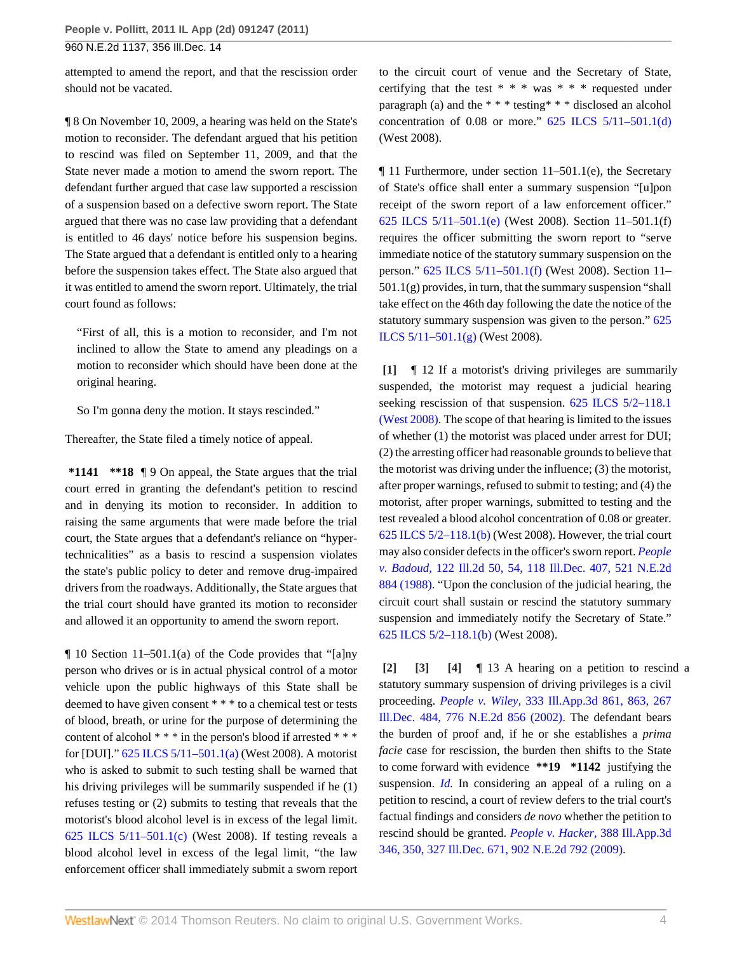attempted to amend the report, and that the rescission order should not be vacated.

¶ 8 On November 10, 2009, a hearing was held on the State's motion to reconsider. The defendant argued that his petition to rescind was filed on September 11, 2009, and that the State never made a motion to amend the sworn report. The defendant further argued that case law supported a rescission of a suspension based on a defective sworn report. The State argued that there was no case law providing that a defendant is entitled to 46 days' notice before his suspension begins. The State argued that a defendant is entitled only to a hearing before the suspension takes effect. The State also argued that it was entitled to amend the sworn report. Ultimately, the trial court found as follows:

"First of all, this is a motion to reconsider, and I'm not inclined to allow the State to amend any pleadings on a motion to reconsider which should have been done at the original hearing.

So I'm gonna deny the motion. It stays rescinded."

Thereafter, the State filed a timely notice of appeal.

**\*1141 \*\*18** ¶ 9 On appeal, the State argues that the trial court erred in granting the defendant's petition to rescind and in denying its motion to reconsider. In addition to raising the same arguments that were made before the trial court, the State argues that a defendant's reliance on "hypertechnicalities" as a basis to rescind a suspension violates the state's public policy to deter and remove drug-impaired drivers from the roadways. Additionally, the State argues that the trial court should have granted its motion to reconsider and allowed it an opportunity to amend the sworn report.

¶ 10 Section 11–501.1(a) of the Code provides that "[a]ny person who drives or is in actual physical control of a motor vehicle upon the public highways of this State shall be deemed to have given consent \* \* \* to a chemical test or tests of blood, breath, or urine for the purpose of determining the content of alcohol \* \* \* in the person's blood if arrested \* \* \* for [DUI]." [625 ILCS 5/11–501.1\(a\)](http://www.westlaw.com/Link/Document/FullText?findType=L&pubNum=1000008&cite=IL625S5%2f11-501.1&originatingDoc=Iaec2b7810bdd11e1bc27967e57e99458&refType=SP&originationContext=document&vr=3.0&rs=cblt1.0&transitionType=DocumentItem&contextData=(sc.Search)#co_pp_8b3b0000958a4) (West 2008). A motorist who is asked to submit to such testing shall be warned that his driving privileges will be summarily suspended if he (1) refuses testing or (2) submits to testing that reveals that the motorist's blood alcohol level is in excess of the legal limit. 625 ILCS  $5/11-501.1(c)$  (West 2008). If testing reveals a blood alcohol level in excess of the legal limit, "the law enforcement officer shall immediately submit a sworn report to the circuit court of venue and the Secretary of State, certifying that the test \* \* \* was \* \* \* requested under paragraph (a) and the \* \* \* testing\* \* \* disclosed an alcohol concentration of 0.08 or more."  $625$  ILCS  $5/11-501.1(d)$ (West 2008).

¶ 11 Furthermore, under section 11–501.1(e), the Secretary of State's office shall enter a summary suspension "[u]pon receipt of the sworn report of a law enforcement officer." [625 ILCS 5/11–501.1\(e\)](http://www.westlaw.com/Link/Document/FullText?findType=L&pubNum=1000008&cite=IL625S5%2f11-501.1&originatingDoc=Iaec2b7810bdd11e1bc27967e57e99458&refType=SP&originationContext=document&vr=3.0&rs=cblt1.0&transitionType=DocumentItem&contextData=(sc.Search)#co_pp_7fdd00001ca15) (West 2008). Section 11–501.1(f) requires the officer submitting the sworn report to "serve immediate notice of the statutory summary suspension on the person." [625 ILCS 5/11–501.1\(f\)](http://www.westlaw.com/Link/Document/FullText?findType=L&pubNum=1000008&cite=IL625S5%2f11-501.1&originatingDoc=Iaec2b7810bdd11e1bc27967e57e99458&refType=SP&originationContext=document&vr=3.0&rs=cblt1.0&transitionType=DocumentItem&contextData=(sc.Search)#co_pp_ae0d0000c5150) (West 2008). Section 11–  $501.1(g)$  provides, in turn, that the summary suspension "shall take effect on the 46th day following the date the notice of the statutory summary suspension was given to the person." [625](http://www.westlaw.com/Link/Document/FullText?findType=L&pubNum=1000008&cite=IL625S5%2f11-501.1&originatingDoc=Iaec2b7810bdd11e1bc27967e57e99458&refType=SP&originationContext=document&vr=3.0&rs=cblt1.0&transitionType=DocumentItem&contextData=(sc.Search)#co_pp_16f4000091d86) [ILCS 5/11–501.1\(g\)](http://www.westlaw.com/Link/Document/FullText?findType=L&pubNum=1000008&cite=IL625S5%2f11-501.1&originatingDoc=Iaec2b7810bdd11e1bc27967e57e99458&refType=SP&originationContext=document&vr=3.0&rs=cblt1.0&transitionType=DocumentItem&contextData=(sc.Search)#co_pp_16f4000091d86) (West 2008).

<span id="page-3-0"></span>**[\[1\]](#page-0-1)** ¶ 12 If a motorist's driving privileges are summarily suspended, the motorist may request a judicial hearing seeking rescission of that suspension. 625 ILCS 5/2-118.1 [\(West 2008\)](http://www.westlaw.com/Link/Document/FullText?findType=L&pubNum=1000008&cite=IL625S5%2f2-118.1&originatingDoc=Iaec2b7810bdd11e1bc27967e57e99458&refType=LQ&originationContext=document&vr=3.0&rs=cblt1.0&transitionType=DocumentItem&contextData=(sc.Search)). The scope of that hearing is limited to the issues of whether (1) the motorist was placed under arrest for DUI; (2) the arresting officer had reasonable grounds to believe that the motorist was driving under the influence; (3) the motorist, after proper warnings, refused to submit to testing; and (4) the motorist, after proper warnings, submitted to testing and the test revealed a blood alcohol concentration of 0.08 or greater. [625 ILCS 5/2–118.1\(b\)](http://www.westlaw.com/Link/Document/FullText?findType=L&pubNum=1000008&cite=IL625S5%2f2-118.1&originatingDoc=Iaec2b7810bdd11e1bc27967e57e99458&refType=SP&originationContext=document&vr=3.0&rs=cblt1.0&transitionType=DocumentItem&contextData=(sc.Search)#co_pp_a83b000018c76) (West 2008). However, the trial court may also consider defects in the officer's sworn report. *[People](http://www.westlaw.com/Link/Document/FullText?findType=Y&serNum=1988039405&pubNum=578&originationContext=document&vr=3.0&rs=cblt1.0&transitionType=DocumentItem&contextData=(sc.Search)) v. Badoud,* [122 Ill.2d 50, 54, 118 Ill.Dec. 407, 521 N.E.2d](http://www.westlaw.com/Link/Document/FullText?findType=Y&serNum=1988039405&pubNum=578&originationContext=document&vr=3.0&rs=cblt1.0&transitionType=DocumentItem&contextData=(sc.Search)) [884 \(1988\)](http://www.westlaw.com/Link/Document/FullText?findType=Y&serNum=1988039405&pubNum=578&originationContext=document&vr=3.0&rs=cblt1.0&transitionType=DocumentItem&contextData=(sc.Search)). "Upon the conclusion of the judicial hearing, the circuit court shall sustain or rescind the statutory summary suspension and immediately notify the Secretary of State." [625 ILCS 5/2–118.1\(b\)](http://www.westlaw.com/Link/Document/FullText?findType=L&pubNum=1000008&cite=IL625S5%2f2-118.1&originatingDoc=Iaec2b7810bdd11e1bc27967e57e99458&refType=SP&originationContext=document&vr=3.0&rs=cblt1.0&transitionType=DocumentItem&contextData=(sc.Search)#co_pp_a83b000018c76) (West 2008).

<span id="page-3-3"></span><span id="page-3-2"></span><span id="page-3-1"></span>**[\[2\]](#page-0-2) [\[3\]](#page-0-3) [\[4\]](#page-0-4)** ¶ 13 A hearing on a petition to rescind a statutory summary suspension of driving privileges is a civil proceeding. *People v. Wiley,* [333 Ill.App.3d 861, 863, 267](http://www.westlaw.com/Link/Document/FullText?findType=Y&serNum=2002579638&pubNum=578&originationContext=document&vr=3.0&rs=cblt1.0&transitionType=DocumentItem&contextData=(sc.Search)) [Ill.Dec. 484, 776 N.E.2d 856 \(2002\)](http://www.westlaw.com/Link/Document/FullText?findType=Y&serNum=2002579638&pubNum=578&originationContext=document&vr=3.0&rs=cblt1.0&transitionType=DocumentItem&contextData=(sc.Search)). The defendant bears the burden of proof and, if he or she establishes a *prima facie* case for rescission, the burden then shifts to the State to come forward with evidence **\*\*19 \*1142** justifying the suspension. *[Id.](http://www.westlaw.com/Link/Document/FullText?findType=Y&serNum=2002579638&originationContext=document&vr=3.0&rs=cblt1.0&transitionType=DocumentItem&contextData=(sc.Search))* In considering an appeal of a ruling on a petition to rescind, a court of review defers to the trial court's factual findings and considers *de novo* whether the petition to rescind should be granted. *[People v. Hacker,](http://www.westlaw.com/Link/Document/FullText?findType=Y&serNum=2018200375&pubNum=578&originationContext=document&vr=3.0&rs=cblt1.0&transitionType=DocumentItem&contextData=(sc.Search))* 388 Ill.App.3d [346, 350, 327 Ill.Dec. 671, 902 N.E.2d 792 \(2009\)](http://www.westlaw.com/Link/Document/FullText?findType=Y&serNum=2018200375&pubNum=578&originationContext=document&vr=3.0&rs=cblt1.0&transitionType=DocumentItem&contextData=(sc.Search)).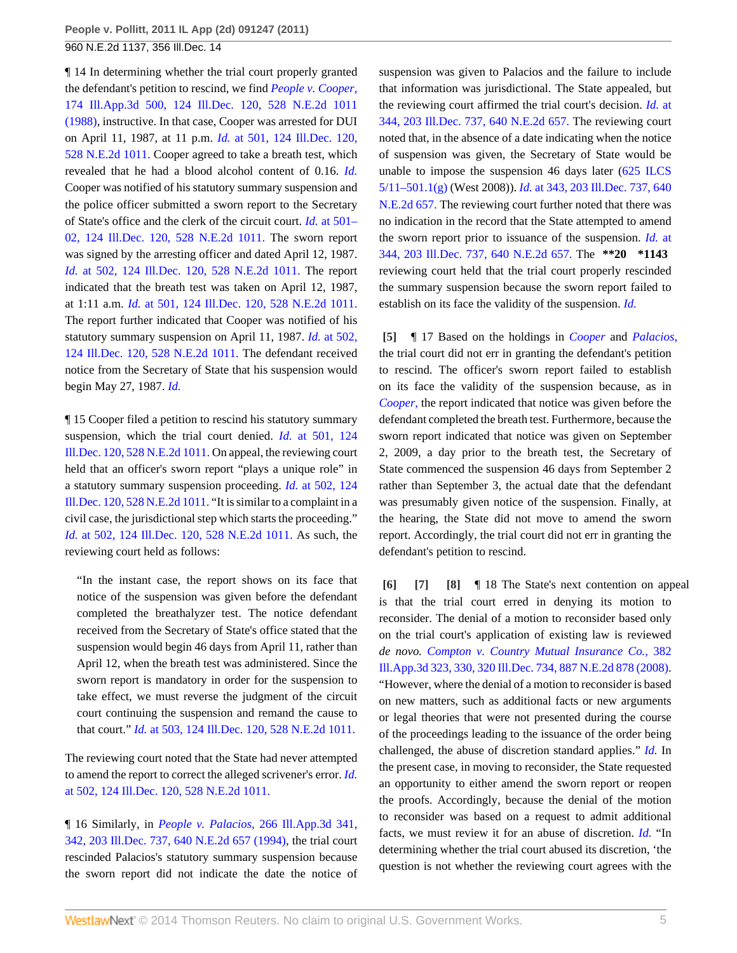¶ 14 In determining whether the trial court properly granted the defendant's petition to rescind, we find *[People v. Cooper,](http://www.westlaw.com/Link/Document/FullText?findType=Y&serNum=1988116275&pubNum=578&originationContext=document&vr=3.0&rs=cblt1.0&transitionType=DocumentItem&contextData=(sc.Search))* [174 Ill.App.3d 500, 124 Ill.Dec. 120, 528 N.E.2d 1011](http://www.westlaw.com/Link/Document/FullText?findType=Y&serNum=1988116275&pubNum=578&originationContext=document&vr=3.0&rs=cblt1.0&transitionType=DocumentItem&contextData=(sc.Search)) [\(1988\),](http://www.westlaw.com/Link/Document/FullText?findType=Y&serNum=1988116275&pubNum=578&originationContext=document&vr=3.0&rs=cblt1.0&transitionType=DocumentItem&contextData=(sc.Search)) instructive. In that case, Cooper was arrested for DUI on April 11, 1987, at 11 p.m. *Id.* [at 501, 124 Ill.Dec. 120,](http://www.westlaw.com/Link/Document/FullText?findType=Y&serNum=1988116275&pubNum=578&originationContext=document&vr=3.0&rs=cblt1.0&transitionType=DocumentItem&contextData=(sc.Search)) [528 N.E.2d 1011.](http://www.westlaw.com/Link/Document/FullText?findType=Y&serNum=1988116275&pubNum=578&originationContext=document&vr=3.0&rs=cblt1.0&transitionType=DocumentItem&contextData=(sc.Search)) Cooper agreed to take a breath test, which revealed that he had a blood alcohol content of 0.16. *[Id.](http://www.westlaw.com/Link/Document/FullText?findType=Y&serNum=1988116275&originationContext=document&vr=3.0&rs=cblt1.0&transitionType=DocumentItem&contextData=(sc.Search))* Cooper was notified of his statutory summary suspension and the police officer submitted a sworn report to the Secretary of State's office and the clerk of the circuit court. *Id.* [at 501–](http://www.westlaw.com/Link/Document/FullText?findType=Y&serNum=1988116275&pubNum=578&originationContext=document&vr=3.0&rs=cblt1.0&transitionType=DocumentItem&contextData=(sc.Search)) [02, 124 Ill.Dec. 120, 528 N.E.2d 1011.](http://www.westlaw.com/Link/Document/FullText?findType=Y&serNum=1988116275&pubNum=578&originationContext=document&vr=3.0&rs=cblt1.0&transitionType=DocumentItem&contextData=(sc.Search)) The sworn report was signed by the arresting officer and dated April 12, 1987. *Id.* [at 502, 124 Ill.Dec. 120, 528 N.E.2d 1011.](http://www.westlaw.com/Link/Document/FullText?findType=Y&serNum=1988116275&pubNum=578&originationContext=document&vr=3.0&rs=cblt1.0&transitionType=DocumentItem&contextData=(sc.Search)) The report indicated that the breath test was taken on April 12, 1987, at 1:11 a.m. *Id.* [at 501, 124 Ill.Dec. 120, 528 N.E.2d 1011.](http://www.westlaw.com/Link/Document/FullText?findType=Y&serNum=1988116275&pubNum=578&originationContext=document&vr=3.0&rs=cblt1.0&transitionType=DocumentItem&contextData=(sc.Search)) The report further indicated that Cooper was notified of his statutory summary suspension on April 11, 1987. *Id.* [at 502,](http://www.westlaw.com/Link/Document/FullText?findType=Y&serNum=1988116275&pubNum=578&originationContext=document&vr=3.0&rs=cblt1.0&transitionType=DocumentItem&contextData=(sc.Search)) [124 Ill.Dec. 120, 528 N.E.2d 1011.](http://www.westlaw.com/Link/Document/FullText?findType=Y&serNum=1988116275&pubNum=578&originationContext=document&vr=3.0&rs=cblt1.0&transitionType=DocumentItem&contextData=(sc.Search)) The defendant received notice from the Secretary of State that his suspension would begin May 27, 1987. *[Id.](http://www.westlaw.com/Link/Document/FullText?findType=Y&serNum=1988116275&originationContext=document&vr=3.0&rs=cblt1.0&transitionType=DocumentItem&contextData=(sc.Search))*

¶ 15 Cooper filed a petition to rescind his statutory summary suspension, which the trial court denied. *Id.* [at 501, 124](http://www.westlaw.com/Link/Document/FullText?findType=Y&serNum=1988116275&pubNum=578&originationContext=document&vr=3.0&rs=cblt1.0&transitionType=DocumentItem&contextData=(sc.Search)) [Ill.Dec. 120, 528 N.E.2d 1011.](http://www.westlaw.com/Link/Document/FullText?findType=Y&serNum=1988116275&pubNum=578&originationContext=document&vr=3.0&rs=cblt1.0&transitionType=DocumentItem&contextData=(sc.Search)) On appeal, the reviewing court held that an officer's sworn report "plays a unique role" in a statutory summary suspension proceeding. *Id.* [at 502, 124](http://www.westlaw.com/Link/Document/FullText?findType=Y&serNum=1988116275&pubNum=578&originationContext=document&vr=3.0&rs=cblt1.0&transitionType=DocumentItem&contextData=(sc.Search)) [Ill.Dec. 120, 528 N.E.2d 1011.](http://www.westlaw.com/Link/Document/FullText?findType=Y&serNum=1988116275&pubNum=578&originationContext=document&vr=3.0&rs=cblt1.0&transitionType=DocumentItem&contextData=(sc.Search)) "It is similar to a complaint in a civil case, the jurisdictional step which starts the proceeding." *Id.* [at 502, 124 Ill.Dec. 120, 528 N.E.2d 1011.](http://www.westlaw.com/Link/Document/FullText?findType=Y&serNum=1988116275&pubNum=578&originationContext=document&vr=3.0&rs=cblt1.0&transitionType=DocumentItem&contextData=(sc.Search)) As such, the reviewing court held as follows:

"In the instant case, the report shows on its face that notice of the suspension was given before the defendant completed the breathalyzer test. The notice defendant received from the Secretary of State's office stated that the suspension would begin 46 days from April 11, rather than April 12, when the breath test was administered. Since the sworn report is mandatory in order for the suspension to take effect, we must reverse the judgment of the circuit court continuing the suspension and remand the cause to that court." *Id.* [at 503, 124 Ill.Dec. 120, 528 N.E.2d 1011.](http://www.westlaw.com/Link/Document/FullText?findType=Y&serNum=1988116275&pubNum=578&originationContext=document&vr=3.0&rs=cblt1.0&transitionType=DocumentItem&contextData=(sc.Search))

The reviewing court noted that the State had never attempted to amend the report to correct the alleged scrivener's error. *[Id.](http://www.westlaw.com/Link/Document/FullText?findType=Y&serNum=1988116275&pubNum=578&originationContext=document&vr=3.0&rs=cblt1.0&transitionType=DocumentItem&contextData=(sc.Search))* [at 502, 124 Ill.Dec. 120, 528 N.E.2d 1011.](http://www.westlaw.com/Link/Document/FullText?findType=Y&serNum=1988116275&pubNum=578&originationContext=document&vr=3.0&rs=cblt1.0&transitionType=DocumentItem&contextData=(sc.Search))

¶ 16 Similarly, in *People v. Palacios,* [266 Ill.App.3d 341,](http://www.westlaw.com/Link/Document/FullText?findType=Y&serNum=1994190426&pubNum=578&originationContext=document&vr=3.0&rs=cblt1.0&transitionType=DocumentItem&contextData=(sc.Search)) [342, 203 Ill.Dec. 737, 640 N.E.2d 657 \(1994\),](http://www.westlaw.com/Link/Document/FullText?findType=Y&serNum=1994190426&pubNum=578&originationContext=document&vr=3.0&rs=cblt1.0&transitionType=DocumentItem&contextData=(sc.Search)) the trial court rescinded Palacios's statutory summary suspension because the sworn report did not indicate the date the notice of suspension was given to Palacios and the failure to include that information was jurisdictional. The State appealed, but the reviewing court affirmed the trial court's decision. *[Id.](http://www.westlaw.com/Link/Document/FullText?findType=Y&serNum=1994190426&pubNum=578&originationContext=document&vr=3.0&rs=cblt1.0&transitionType=DocumentItem&contextData=(sc.Search))* at [344, 203 Ill.Dec. 737, 640 N.E.2d 657.](http://www.westlaw.com/Link/Document/FullText?findType=Y&serNum=1994190426&pubNum=578&originationContext=document&vr=3.0&rs=cblt1.0&transitionType=DocumentItem&contextData=(sc.Search)) The reviewing court noted that, in the absence of a date indicating when the notice of suspension was given, the Secretary of State would be unable to impose the suspension 46 days later [\(625 ILCS](http://www.westlaw.com/Link/Document/FullText?findType=L&pubNum=1000008&cite=IL625S5%2f11-501.1&originatingDoc=Iaec2b7810bdd11e1bc27967e57e99458&refType=SP&originationContext=document&vr=3.0&rs=cblt1.0&transitionType=DocumentItem&contextData=(sc.Search)#co_pp_16f4000091d86) [5/11–501.1\(g\)](http://www.westlaw.com/Link/Document/FullText?findType=L&pubNum=1000008&cite=IL625S5%2f11-501.1&originatingDoc=Iaec2b7810bdd11e1bc27967e57e99458&refType=SP&originationContext=document&vr=3.0&rs=cblt1.0&transitionType=DocumentItem&contextData=(sc.Search)#co_pp_16f4000091d86) (West 2008)). *Id.* [at 343, 203 Ill.Dec. 737, 640](http://www.westlaw.com/Link/Document/FullText?findType=Y&serNum=1994190426&pubNum=578&originationContext=document&vr=3.0&rs=cblt1.0&transitionType=DocumentItem&contextData=(sc.Search)) [N.E.2d 657.](http://www.westlaw.com/Link/Document/FullText?findType=Y&serNum=1994190426&pubNum=578&originationContext=document&vr=3.0&rs=cblt1.0&transitionType=DocumentItem&contextData=(sc.Search)) The reviewing court further noted that there was no indication in the record that the State attempted to amend the sworn report prior to issuance of the suspension. *Id.* [at](http://www.westlaw.com/Link/Document/FullText?findType=Y&serNum=1994190426&pubNum=578&originationContext=document&vr=3.0&rs=cblt1.0&transitionType=DocumentItem&contextData=(sc.Search)) [344, 203 Ill.Dec. 737, 640 N.E.2d 657.](http://www.westlaw.com/Link/Document/FullText?findType=Y&serNum=1994190426&pubNum=578&originationContext=document&vr=3.0&rs=cblt1.0&transitionType=DocumentItem&contextData=(sc.Search)) The **\*\*20 \*1143** reviewing court held that the trial court properly rescinded the summary suspension because the sworn report failed to establish on its face the validity of the suspension. *[Id.](http://www.westlaw.com/Link/Document/FullText?findType=Y&serNum=1994190426&originationContext=document&vr=3.0&rs=cblt1.0&transitionType=DocumentItem&contextData=(sc.Search))*

<span id="page-4-0"></span>**[\[5\]](#page-0-0)** ¶ 17 Based on the holdings in *[Cooper](http://www.westlaw.com/Link/Document/FullText?findType=Y&serNum=1988116275&originationContext=document&vr=3.0&rs=cblt1.0&transitionType=DocumentItem&contextData=(sc.Search))* and *[Palacios,](http://www.westlaw.com/Link/Document/FullText?findType=Y&serNum=1994190426&originationContext=document&vr=3.0&rs=cblt1.0&transitionType=DocumentItem&contextData=(sc.Search))* the trial court did not err in granting the defendant's petition to rescind. The officer's sworn report failed to establish on its face the validity of the suspension because, as in *[Cooper,](http://www.westlaw.com/Link/Document/FullText?findType=Y&serNum=1988116275&originationContext=document&vr=3.0&rs=cblt1.0&transitionType=DocumentItem&contextData=(sc.Search))* the report indicated that notice was given before the defendant completed the breath test. Furthermore, because the sworn report indicated that notice was given on September 2, 2009, a day prior to the breath test, the Secretary of State commenced the suspension 46 days from September 2 rather than September 3, the actual date that the defendant was presumably given notice of the suspension. Finally, at the hearing, the State did not move to amend the sworn report. Accordingly, the trial court did not err in granting the defendant's petition to rescind.

<span id="page-4-3"></span><span id="page-4-2"></span><span id="page-4-1"></span>**[\[6\]](#page-1-0) [\[7\]](#page-1-1) [\[8\]](#page-1-2)** ¶ 18 The State's next contention on appeal is that the trial court erred in denying its motion to reconsider. The denial of a motion to reconsider based only on the trial court's application of existing law is reviewed *de novo. [Compton v. Country Mutual Insurance Co.,](http://www.westlaw.com/Link/Document/FullText?findType=Y&serNum=2015947793&pubNum=578&originationContext=document&vr=3.0&rs=cblt1.0&transitionType=DocumentItem&contextData=(sc.Search))* 382 [Ill.App.3d 323, 330, 320 Ill.Dec. 734, 887 N.E.2d 878 \(2008\).](http://www.westlaw.com/Link/Document/FullText?findType=Y&serNum=2015947793&pubNum=578&originationContext=document&vr=3.0&rs=cblt1.0&transitionType=DocumentItem&contextData=(sc.Search)) "However, where the denial of a motion to reconsider is based on new matters, such as additional facts or new arguments or legal theories that were not presented during the course of the proceedings leading to the issuance of the order being challenged, the abuse of discretion standard applies." *[Id.](http://www.westlaw.com/Link/Document/FullText?findType=Y&serNum=2015947793&originationContext=document&vr=3.0&rs=cblt1.0&transitionType=DocumentItem&contextData=(sc.Search))* In the present case, in moving to reconsider, the State requested an opportunity to either amend the sworn report or reopen the proofs. Accordingly, because the denial of the motion to reconsider was based on a request to admit additional facts, we must review it for an abuse of discretion. *[Id.](http://www.westlaw.com/Link/Document/FullText?findType=Y&serNum=2015947793&originationContext=document&vr=3.0&rs=cblt1.0&transitionType=DocumentItem&contextData=(sc.Search))* "In determining whether the trial court abused its discretion, 'the question is not whether the reviewing court agrees with the